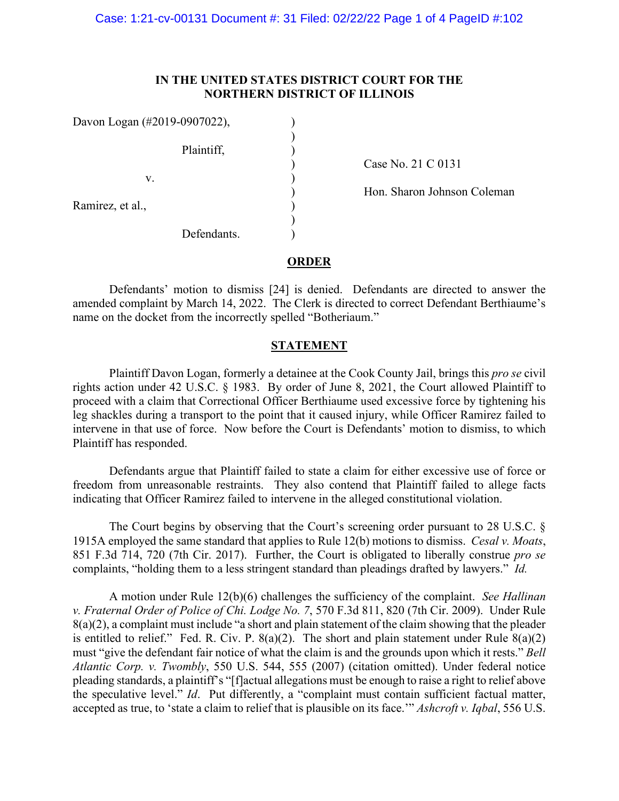# **IN THE UNITED STATES DISTRICT COURT FOR THE NORTHERN DISTRICT OF ILLINOIS**

| Davon Logan (#2019-0907022), |             |  |
|------------------------------|-------------|--|
|                              | Plaintiff,  |  |
| V.                           |             |  |
| Ramirez, et al.,             |             |  |
|                              | Defendants. |  |

) Case No. 21 C 0131

) Hon. Sharon Johnson Coleman

### **ORDER**

Defendants' motion to dismiss [24] is denied. Defendants are directed to answer the amended complaint by March 14, 2022. The Clerk is directed to correct Defendant Berthiaume's name on the docket from the incorrectly spelled "Botheriaum."

# **STATEMENT**

Plaintiff Davon Logan, formerly a detainee at the Cook County Jail, brings this *pro se* civil rights action under 42 U.S.C. § 1983. By order of June 8, 2021, the Court allowed Plaintiff to proceed with a claim that Correctional Officer Berthiaume used excessive force by tightening his leg shackles during a transport to the point that it caused injury, while Officer Ramirez failed to intervene in that use of force. Now before the Court is Defendants' motion to dismiss, to which Plaintiff has responded.

Defendants argue that Plaintiff failed to state a claim for either excessive use of force or freedom from unreasonable restraints. They also contend that Plaintiff failed to allege facts indicating that Officer Ramirez failed to intervene in the alleged constitutional violation.

The Court begins by observing that the Court's screening order pursuant to 28 U.S.C. § 1915A employed the same standard that applies to Rule 12(b) motions to dismiss. *Cesal v. Moats*, 851 F.3d 714, 720 (7th Cir. 2017). Further, the Court is obligated to liberally construe *pro se* complaints, "holding them to a less stringent standard than pleadings drafted by lawyers." *Id.* 

A motion under Rule 12(b)(6) challenges the sufficiency of the complaint. *See Hallinan v. Fraternal Order of Police of Chi. Lodge No. 7*, 570 F.3d 811, 820 (7th Cir. 2009). Under Rule  $8(a)(2)$ , a complaint must include "a short and plain statement of the claim showing that the pleader is entitled to relief." Fed. R. Civ. P.  $8(a)(2)$ . The short and plain statement under Rule  $8(a)(2)$ must "give the defendant fair notice of what the claim is and the grounds upon which it rests." *Bell Atlantic Corp. v. Twombly*, 550 U.S. 544, 555 (2007) (citation omitted). Under federal notice pleading standards, a plaintiff's "[f]actual allegations must be enough to raise a right to relief above the speculative level." *Id*. Put differently, a "complaint must contain sufficient factual matter, accepted as true, to 'state a claim to relief that is plausible on its face.'" *Ashcroft v. Iqbal*, 556 U.S.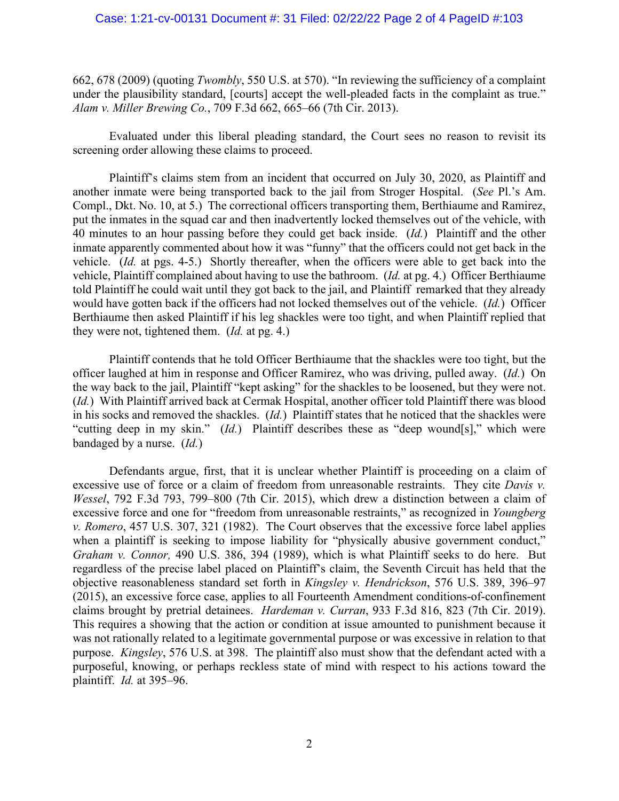### Case: 1:21-cv-00131 Document #: 31 Filed: 02/22/22 Page 2 of 4 PageID #:103

662, 678 (2009) (quoting *Twombly*, 550 U.S. at 570). "In reviewing the sufficiency of a complaint under the plausibility standard, [courts] accept the well-pleaded facts in the complaint as true." *Alam v. Miller Brewing Co.*, 709 F.3d 662, 665–66 (7th Cir. 2013).

Evaluated under this liberal pleading standard, the Court sees no reason to revisit its screening order allowing these claims to proceed.

Plaintiff's claims stem from an incident that occurred on July 30, 2020, as Plaintiff and another inmate were being transported back to the jail from Stroger Hospital. (*See* Pl.'s Am. Compl., Dkt. No. 10, at 5.) The correctional officers transporting them, Berthiaume and Ramirez, put the inmates in the squad car and then inadvertently locked themselves out of the vehicle, with 40 minutes to an hour passing before they could get back inside. (*Id.*) Plaintiff and the other inmate apparently commented about how it was "funny" that the officers could not get back in the vehicle. (*Id.* at pgs. 4-5.) Shortly thereafter, when the officers were able to get back into the vehicle, Plaintiff complained about having to use the bathroom. (*Id.* at pg. 4.) Officer Berthiaume told Plaintiff he could wait until they got back to the jail, and Plaintiff remarked that they already would have gotten back if the officers had not locked themselves out of the vehicle. (*Id.*) Officer Berthiaume then asked Plaintiff if his leg shackles were too tight, and when Plaintiff replied that they were not, tightened them. (*Id.* at pg. 4.)

Plaintiff contends that he told Officer Berthiaume that the shackles were too tight, but the officer laughed at him in response and Officer Ramirez, who was driving, pulled away. (*Id.*) On the way back to the jail, Plaintiff "kept asking" for the shackles to be loosened, but they were not. (*Id.*) With Plaintiff arrived back at Cermak Hospital, another officer told Plaintiff there was blood in his socks and removed the shackles. (*Id.*) Plaintiff states that he noticed that the shackles were "cutting deep in my skin." (*Id.*) Plaintiff describes these as "deep wound[s]," which were bandaged by a nurse. (*Id.*)

Defendants argue, first, that it is unclear whether Plaintiff is proceeding on a claim of excessive use of force or a claim of freedom from unreasonable restraints. They cite *Davis v. Wessel*, 792 F.3d 793, 799–800 (7th Cir. 2015), which drew a distinction between a claim of excessive force and one for "freedom from unreasonable restraints," as recognized in *Youngberg v. Romero*, 457 U.S. 307, 321 (1982). The Court observes that the excessive force label applies when a plaintiff is seeking to impose liability for "physically abusive government conduct," *Graham v. Connor,* 490 U.S. 386, 394 (1989), which is what Plaintiff seeks to do here. But regardless of the precise label placed on Plaintiff's claim, the Seventh Circuit has held that the objective reasonableness standard set forth in *Kingsley v. Hendrickson*, 576 U.S. 389, 396–97 (2015), an excessive force case, applies to all Fourteenth Amendment conditions-of-confinement claims brought by pretrial detainees. *Hardeman v. Curran*, 933 F.3d 816, 823 (7th Cir. 2019). This requires a showing that the action or condition at issue amounted to punishment because it was not rationally related to a legitimate governmental purpose or was excessive in relation to that purpose. *Kingsley*, 576 U.S. at 398. The plaintiff also must show that the defendant acted with a purposeful, knowing, or perhaps reckless state of mind with respect to his actions toward the plaintiff. *Id.* at 395–96.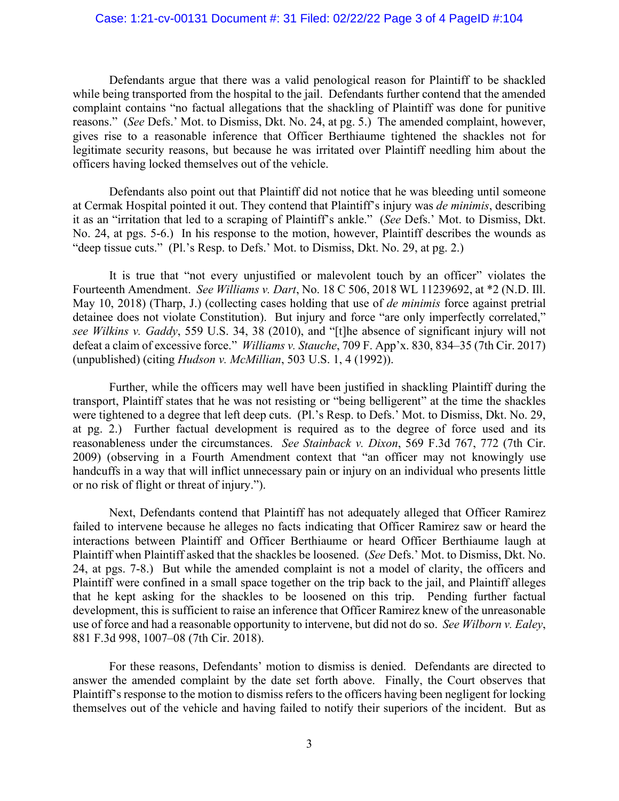### Case: 1:21-cv-00131 Document #: 31 Filed: 02/22/22 Page 3 of 4 PageID #:104

Defendants argue that there was a valid penological reason for Plaintiff to be shackled while being transported from the hospital to the jail. Defendants further contend that the amended complaint contains "no factual allegations that the shackling of Plaintiff was done for punitive reasons." (*See* Defs.' Mot. to Dismiss, Dkt. No. 24, at pg. 5.) The amended complaint, however, gives rise to a reasonable inference that Officer Berthiaume tightened the shackles not for legitimate security reasons, but because he was irritated over Plaintiff needling him about the officers having locked themselves out of the vehicle.

Defendants also point out that Plaintiff did not notice that he was bleeding until someone at Cermak Hospital pointed it out. They contend that Plaintiff's injury was *de minimis*, describing it as an "irritation that led to a scraping of Plaintiff's ankle." (*See* Defs.' Mot. to Dismiss, Dkt. No. 24, at pgs. 5-6.) In his response to the motion, however, Plaintiff describes the wounds as "deep tissue cuts." (Pl.'s Resp. to Defs.' Mot. to Dismiss, Dkt. No. 29, at pg. 2.)

It is true that "not every unjustified or malevolent touch by an officer" violates the Fourteenth Amendment. *See Williams v. Dart*, No. 18 C 506, 2018 WL 11239692, at \*2 (N.D. Ill. May 10, 2018) (Tharp, J.) (collecting cases holding that use of *de minimis* force against pretrial detainee does not violate Constitution). But injury and force "are only imperfectly correlated," *see Wilkins v. Gaddy*, 559 U.S. 34, 38 (2010), and "[t]he absence of significant injury will not defeat a claim of excessive force." *Williams v. Stauche*, 709 F. App'x. 830, 834–35 (7th Cir. 2017) (unpublished) (citing *Hudson v. McMillian*, 503 U.S. 1, 4 (1992)).

Further, while the officers may well have been justified in shackling Plaintiff during the transport, Plaintiff states that he was not resisting or "being belligerent" at the time the shackles were tightened to a degree that left deep cuts. (Pl.'s Resp. to Defs.' Mot. to Dismiss, Dkt. No. 29, at pg. 2.) Further factual development is required as to the degree of force used and its reasonableness under the circumstances. *See Stainback v. Dixon*, 569 F.3d 767, 772 (7th Cir. 2009) (observing in a Fourth Amendment context that "an officer may not knowingly use handcuffs in a way that will inflict unnecessary pain or injury on an individual who presents little or no risk of flight or threat of injury.").

Next, Defendants contend that Plaintiff has not adequately alleged that Officer Ramirez failed to intervene because he alleges no facts indicating that Officer Ramirez saw or heard the interactions between Plaintiff and Officer Berthiaume or heard Officer Berthiaume laugh at Plaintiff when Plaintiff asked that the shackles be loosened. (*See* Defs.' Mot. to Dismiss, Dkt. No. 24, at pgs. 7-8.) But while the amended complaint is not a model of clarity, the officers and Plaintiff were confined in a small space together on the trip back to the jail, and Plaintiff alleges that he kept asking for the shackles to be loosened on this trip. Pending further factual development, this is sufficient to raise an inference that Officer Ramirez knew of the unreasonable use of force and had a reasonable opportunity to intervene, but did not do so. *See Wilborn v. Ealey*, 881 F.3d 998, 1007–08 (7th Cir. 2018).

For these reasons, Defendants' motion to dismiss is denied. Defendants are directed to answer the amended complaint by the date set forth above. Finally, the Court observes that Plaintiff's response to the motion to dismiss refers to the officers having been negligent for locking themselves out of the vehicle and having failed to notify their superiors of the incident. But as